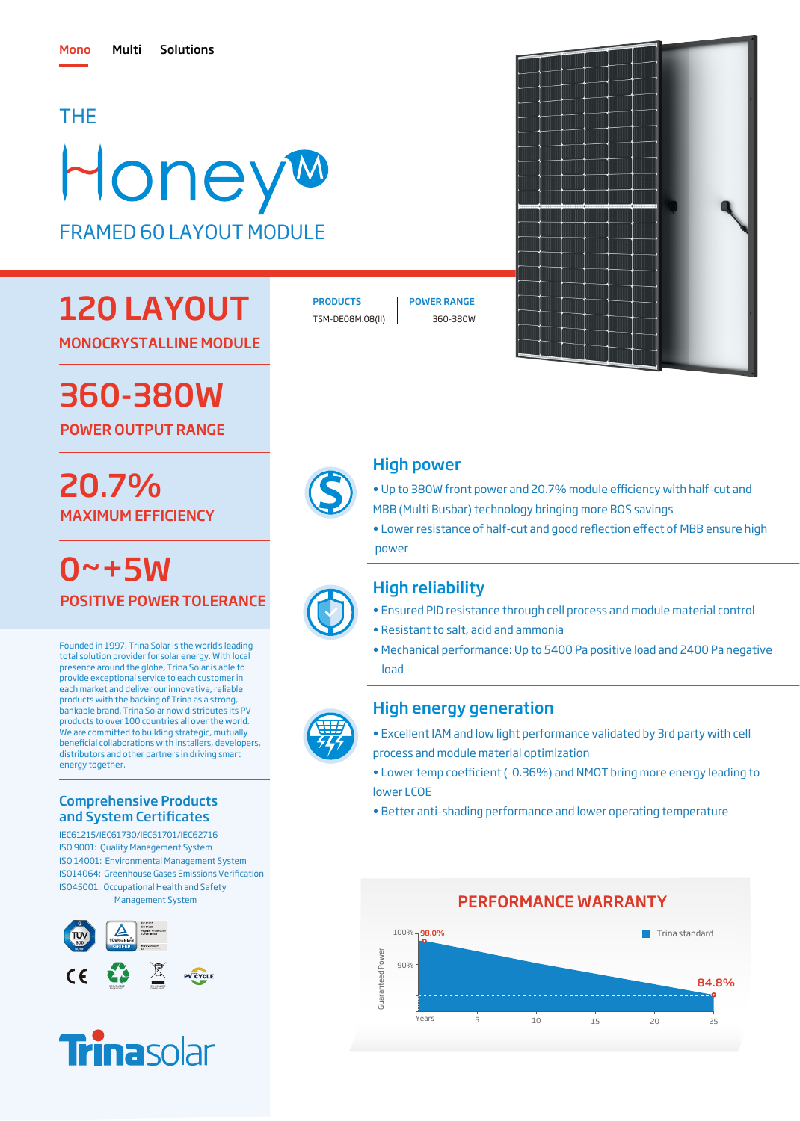## THE

# HoneyM FRAMED 60 LAYOUT MODULE

## 120 LAYOUT

MONOCRYSTALLINE MODULE

## 360-380W

POWER OUTPUT RANGE

## MAXIMUM EFFICIENCY 20.7%

 $0 - +5W$ POSITIVE POWER TOLERANCE

Founded in 1997, Trina Solar is the world's leading total solution provider for solar energy. With local presence around the globe, Trina Solar is able to provide exceptional service to each customer in each market and deliver our innovative, reliable products with the backing of Trina as a strong, bankable brand. Trina Solar now distributes its PV products to over 100 countries all over the world. .<br>We are committed to building strategic, mutually beneficial collaborations with installers, developers, distributors and other partners in driving smart energy together.

### Comprehensive Products and System Certificates

IEC61215/IEC61730/IEC61701/IEC62716 ISO 9001: Quality Management System ISO 14001: Environmental Management System ISO45001: Occupational Health and Safety Management System ISO14064: Greenhouse Gases Emissions Verification





PRODUCTS | POWER RANGE

TSM-DE08M.08(II) 360-380W



## High power

- Up to 380W front power and 20.7% module efficiency with half-cut and MBB (Multi Busbar) technology bringing more BOS savings
- Lower resistance of half-cut and good reflection effect of MBB ensure high power

## High reliability

- Ensured PID resistance through cell process and module material control
- Resistant to salt, acid and ammonia
- Mechanical performance: Up to 5400 Pa positive load and 2400 Pa negative load

## High energy generation

- Excellent IAM and low light performance validated by 3rd party with cell process and module material optimization
- Lower temp coefficient (-0.36%) and NMOT bring more energy leading to lower LCOE
- Better anti-shading performance and lower operating temperature